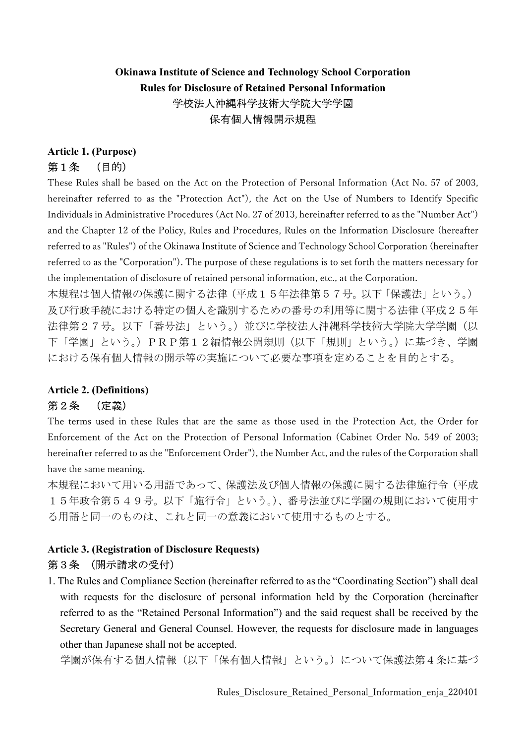# Okinawa Institute of Science and Technology School Corporation Rules for Disclosure of Retained Personal Information 学校法人沖縄科学技術大学院大学学園 保有個人情報開示規程

#### Article 1. (Purpose) 第1条 (目的)

These Rules shall be based on the Act on the Protection of Personal Information (Act No. 57 of 2003, hereinafter referred to as the "Protection Act"), the Act on the Use of Numbers to Identify Specific Individuals in Administrative Procedures (Act No. 27 of 2013, hereinafter referred to as the "Number Act") and the Chapter 12 of the Policy, Rules and Procedures, Rules on the Information Disclosure (hereafter referred to as "Rules") of the Okinawa Institute of Science and Technology School Corporation (hereinafter referred to as the "Corporation"). The purpose of these regulations is to set forth the matters necessary for the implementation of disclosure of retained personal information, etc., at the Corporation.

本規程は個人情報の保護に関する法律(平成15年法律第57号。以下「保護法」という。) 及び行政手続における特定の個人を識別するための番号の利用等に関する法律(平成25年 法律第27号。以下「番号法」という。)並びに学校法人沖縄科学技術大学院大学学園(以 下「学園」という。)PRP第12編情報公開規則(以下「規則」という。)に基づき、学園 における保有個人情報の開示等の実施について必要な事項を定めることを目的とする。

## Article 2. (Definitions)

### 第2条 (定義)

The terms used in these Rules that are the same as those used in the Protection Act, the Order for Enforcement of the Act on the Protection of Personal Information (Cabinet Order No. 549 of 2003; hereinafter referred to as the "Enforcement Order"), the Number Act, and the rules of the Corporation shall have the same meaning.

本規程において用いる用語であって、保護法及び個人情報の保護に関する法律施行令(平成 15年政令第549号。以下「施行令」という。)、番号法並びに学園の規則において使用す る用語と同一のものは、これと同一の意義において使用するものとする。

### Article 3. (Registration of Disclosure Requests) 第3条 (開示請求の受付)

1. The Rules and Compliance Section (hereinafter referred to as the "Coordinating Section") shall deal with requests for the disclosure of personal information held by the Corporation (hereinafter referred to as the "Retained Personal Information") and the said request shall be received by the Secretary General and General Counsel. However, the requests for disclosure made in languages other than Japanese shall not be accepted.

学園が保有する個人情報(以下「保有個人情報」という。)について保護法第4条に基づ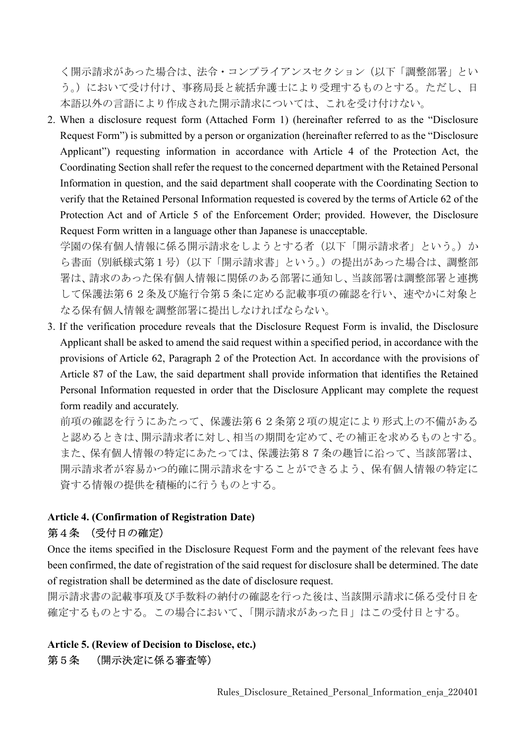く開示請求があった場合は、法令・コンプライアンスセクション(以下「調整部署」とい う。)において受け付け、事務局長と統括弁護士により受理するものとする。ただし、日 本語以外の言語により作成された開示請求については、これを受け付けない。

2. When a disclosure request form (Attached Form 1) (hereinafter referred to as the "Disclosure Request Form") is submitted by a person or organization (hereinafter referred to as the "Disclosure Applicant") requesting information in accordance with Article 4 of the Protection Act, the Coordinating Section shall refer the request to the concerned department with the Retained Personal Information in question, and the said department shall cooperate with the Coordinating Section to verify that the Retained Personal Information requested is covered by the terms of Article 62 of the Protection Act and of Article 5 of the Enforcement Order; provided. However, the Disclosure Request Form written in a language other than Japanese is unacceptable.

学園の保有個人情報に係る開示請求をしようとする者(以下「開示請求者」という。)か ら書面(別紙様式第1号)(以下「開示請求書」という。)の提出があった場合は、調整部 署は、請求のあった保有個人情報に関係のある部署に通知し、当該部署は調整部署と連携 して保護法第62条及び施行令第5条に定める記載事項の確認を行い、速やかに対象と なる保有個人情報を調整部署に提出しなければならない。

3. If the verification procedure reveals that the Disclosure Request Form is invalid, the Disclosure Applicant shall be asked to amend the said request within a specified period, in accordance with the provisions of Article 62, Paragraph 2 of the Protection Act. In accordance with the provisions of Article 87 of the Law, the said department shall provide information that identifies the Retained Personal Information requested in order that the Disclosure Applicant may complete the request form readily and accurately.

前項の確認を行うにあたって、保護法第62条第2項の規定により形式上の不備がある と認めるときは、開示請求者に対し、相当の期間を定めて、その補正を求めるものとする。 また、保有個人情報の特定にあたっては、保護法第87条の趣旨に沿って、当該部署は、 開示請求者が容易かつ的確に開示請求をすることができるよう、保有個人情報の特定に 資する情報の提供を積極的に行うものとする。

#### Article 4. (Confirmation of Registration Date) 第4条 (受付日の確定)

Once the items specified in the Disclosure Request Form and the payment of the relevant fees have been confirmed, the date of registration of the said request for disclosure shall be determined. The date of registration shall be determined as the date of disclosure request.

開示請求書の記載事項及び手数料の納付の確認を行った後は、当該開示請求に係る受付日を 確定するものとする。この場合において、「開示請求があった日」はこの受付日とする。

### Article 5. (Review of Decision to Disclose, etc.) 第5条 (開示決定に係る審査等)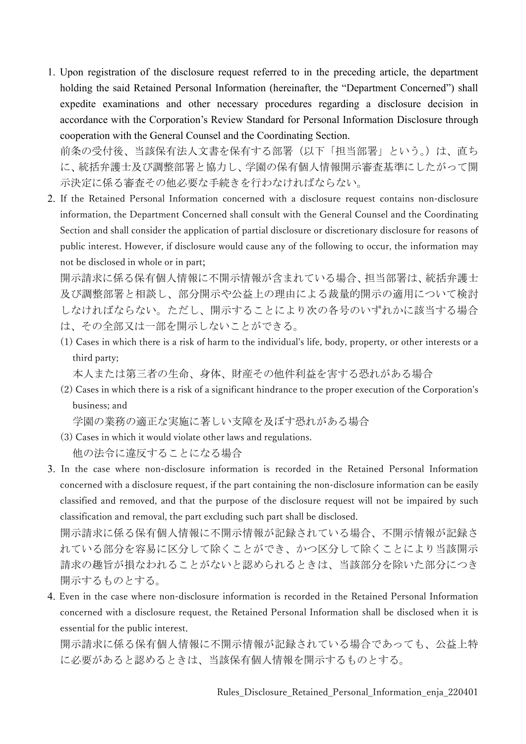1. Upon registration of the disclosure request referred to in the preceding article, the department holding the said Retained Personal Information (hereinafter, the "Department Concerned") shall expedite examinations and other necessary procedures regarding a disclosure decision in accordance with the Corporation's Review Standard for Personal Information Disclosure through cooperation with the General Counsel and the Coordinating Section.

前条の受付後、当該保有法人文書を保有する部署(以下「担当部署」という。)は、直ち に、統括弁護士及び調整部署と協力し、学園の保有個人情報開示審査基準にしたがって開 示決定に係る審査その他必要な手続きを行わなければならない。

2. If the Retained Personal Information concerned with a disclosure request contains non-disclosure information, the Department Concerned shall consult with the General Counsel and the Coordinating Section and shall consider the application of partial disclosure or discretionary disclosure for reasons of public interest. However, if disclosure would cause any of the following to occur, the information may not be disclosed in whole or in part;

開示請求に係る保有個人情報に不開示情報が含まれている場合、担当部署は、統括弁護士 及び調整部署と相談し、部分開示や公益上の理由による裁量的開示の適用について検討 しなければならない。ただし、開示することにより次の各号のいずれかに該当する場合 は、その全部又は一部を開示しないことができる。

(1) Cases in which there is a risk of harm to the individual's life, body, property, or other interests or a third party;

本人または第三者の生命、身体、財産その他件利益を害する恐れがある場合

(2) Cases in which there is a risk of a significant hindrance to the proper execution of the Corporation's business; and

学園の業務の適正な実施に著しい支障を及ぼす恐れがある場合

- (3) Cases in which it would violate other laws and regulations. 他の法令に違反することになる場合
- 3. In the case where non-disclosure information is recorded in the Retained Personal Information concerned with a disclosure request, if the part containing the non-disclosure information can be easily classified and removed, and that the purpose of the disclosure request will not be impaired by such classification and removal, the part excluding such part shall be disclosed.

開示請求に係る保有個人情報に不開示情報が記録されている場合、不開示情報が記録さ れている部分を容易に区分して除くことができ、かつ区分して除くことにより当該開示 請求の趣旨が損なわれることがないと認められるときは、当該部分を除いた部分につき 開示するものとする。

4. Even in the case where non-disclosure information is recorded in the Retained Personal Information concerned with a disclosure request, the Retained Personal Information shall be disclosed when it is essential for the public interest.

開示請求に係る保有個人情報に不開示情報が記録されている場合であっても、公益上特 に必要があると認めるときは、当該保有個人情報を開示するものとする。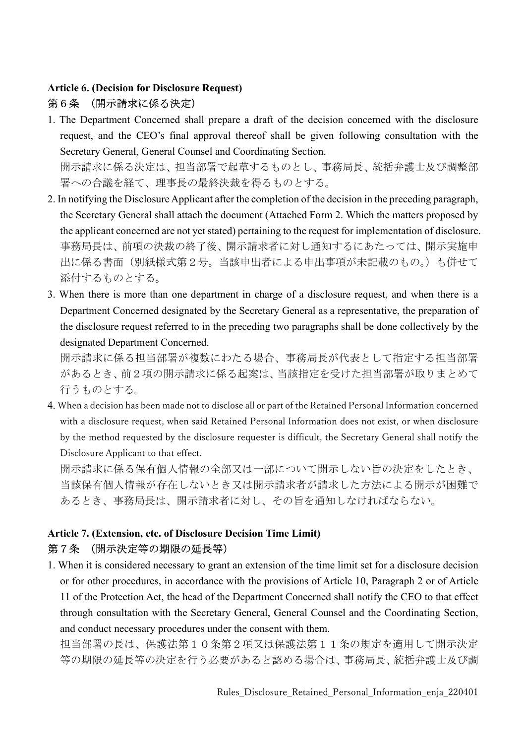### Article 6. (Decision for Disclosure Request) 第6条 (開示請求に係る決定)

1. The Department Concerned shall prepare a draft of the decision concerned with the disclosure request, and the CEO's final approval thereof shall be given following consultation with the Secretary General, General Counsel and Coordinating Section.

開示請求に係る決定は、担当部署で起草するものとし、事務局長、統括弁護士及び調整部 署への合議を経て、理事長の最終決裁を得るものとする。

- 2. In notifying the Disclosure Applicant after the completion of the decision in the preceding paragraph, the Secretary General shall attach the document (Attached Form 2. Which the matters proposed by the applicant concerned are not yet stated) pertaining to the request for implementation of disclosure. 事務局長は、前項の決裁の終了後、開示請求者に対し通知するにあたっては、開示実施申 出に係る書面(別紙様式第2号。当該申出者による申出事項が未記載のもの。)も併せて 添付するものとする。
- 3. When there is more than one department in charge of a disclosure request, and when there is a Department Concerned designated by the Secretary General as a representative, the preparation of the disclosure request referred to in the preceding two paragraphs shall be done collectively by the designated Department Concerned.

開示請求に係る担当部署が複数にわたる場合、事務局長が代表として指定する担当部署 があるとき、前2項の開示請求に係る起案は、当該指定を受けた担当部署が取りまとめて 行うものとする。

4. When a decision has been made not to disclose all or part of the Retained Personal Information concerned with a disclosure request, when said Retained Personal Information does not exist, or when disclosure by the method requested by the disclosure requester is difficult, the Secretary General shall notify the Disclosure Applicant to that effect.

開示請求に係る保有個人情報の全部又は一部について開示しない旨の決定をしたとき、 当該保有個人情報が存在しないとき又は開示請求者が請求した方法による開示が困難で あるとき、事務局長は、開示請求者に対し、その旨を通知しなければならない。

# Article 7. (Extension, etc. of Disclosure Decision Time Limit) 第7条 (開示決定等の期限の延長等)

1. When it is considered necessary to grant an extension of the time limit set for a disclosure decision or for other procedures, in accordance with the provisions of Article 10, Paragraph 2 or of Article 11 of the Protection Act, the head of the Department Concerned shall notify the CEO to that effect through consultation with the Secretary General, General Counsel and the Coordinating Section, and conduct necessary procedures under the consent with them.

担当部署の長は、保護法第10条第2項又は保護法第11条の規定を適用して開示決定 等の期限の延長等の決定を行う必要があると認める場合は、事務局長、統括弁護士及び調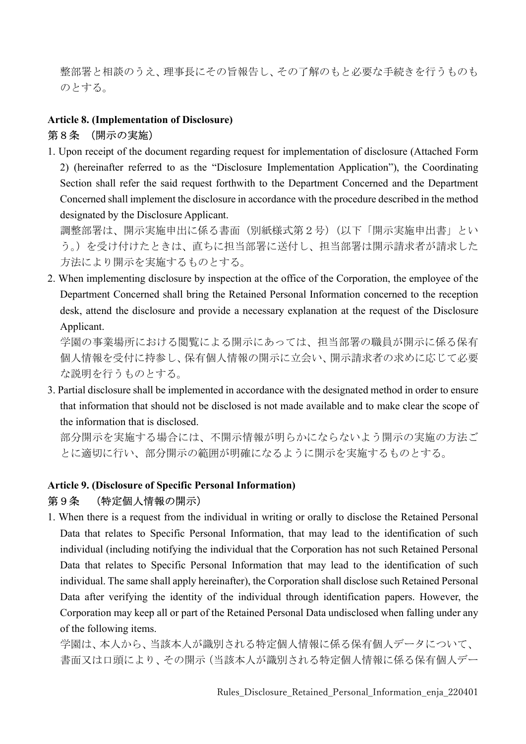整部署と相談のうえ、理事長にその旨報告し、その了解のもと必要な手続きを行うものも のとする。

### Article 8. (Implementation of Disclosure)

#### 第8条 (開示の実施)

1. Upon receipt of the document regarding request for implementation of disclosure (Attached Form 2) (hereinafter referred to as the "Disclosure Implementation Application"), the Coordinating Section shall refer the said request forthwith to the Department Concerned and the Department Concerned shall implement the disclosure in accordance with the procedure described in the method designated by the Disclosure Applicant.

調整部署は、開示実施申出に係る書面(別紙様式第2号)(以下「開示実施申出書」とい う。)を受け付けたときは、直ちに担当部署に送付し、担当部署は開示請求者が請求した 方法により開示を実施するものとする。

2. When implementing disclosure by inspection at the office of the Corporation, the employee of the Department Concerned shall bring the Retained Personal Information concerned to the reception desk, attend the disclosure and provide a necessary explanation at the request of the Disclosure Applicant.

学園の事業場所における閲覧による開示にあっては、担当部署の職員が開示に係る保有 個人情報を受付に持参し、保有個人情報の開示に立会い、開示請求者の求めに応じて必要 な説明を行うものとする。

3. Partial disclosure shall be implemented in accordance with the designated method in order to ensure that information that should not be disclosed is not made available and to make clear the scope of the information that is disclosed.

部分開示を実施する場合には、不開示情報が明らかにならないよう開示の実施の方法ご とに適切に行い、部分開示の範囲が明確になるように開示を実施するものとする。

### Article 9. (Disclosure of Specific Personal Information)

#### 第9条 (特定個人情報の開示)

1. When there is a request from the individual in writing or orally to disclose the Retained Personal Data that relates to Specific Personal Information, that may lead to the identification of such individual (including notifying the individual that the Corporation has not such Retained Personal Data that relates to Specific Personal Information that may lead to the identification of such individual. The same shall apply hereinafter), the Corporation shall disclose such Retained Personal Data after verifying the identity of the individual through identification papers. However, the Corporation may keep all or part of the Retained Personal Data undisclosed when falling under any of the following items.

学園は、本人から、当該本人が識別される特定個人情報に係る保有個人データについて、 書面又は口頭により、その開示(当該本人が識別される特定個人情報に係る保有個人デー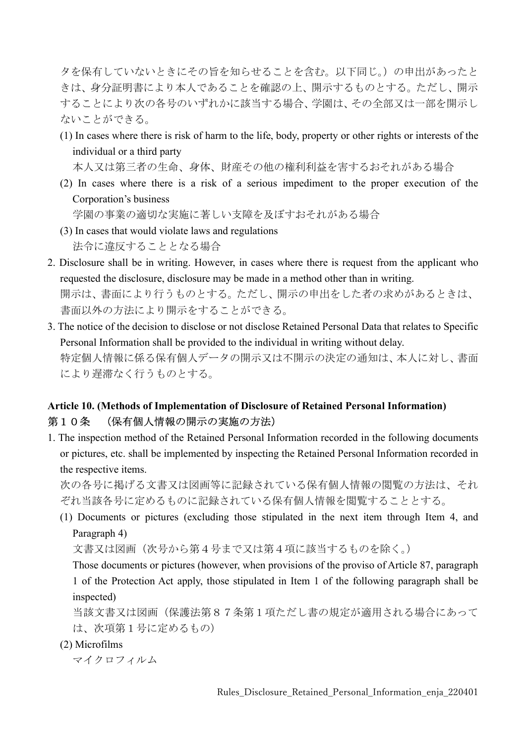タを保有していないときにその旨を知らせることを含む。以下同じ。)の申出があったと きは、身分証明書により本人であることを確認の上、開示するものとする。ただし、開示 することにより次の各号のいずれかに該当する場合、学園は、その全部又は一部を開示し ないことができる。

(1) In cases where there is risk of harm to the life, body, property or other rights or interests of the individual or a third party

本人又は第三者の生命、身体、財産その他の権利利益を害するおそれがある場合

(2) In cases where there is a risk of a serious impediment to the proper execution of the Corporation's business

学園の事業の適切な実施に著しい支障を及ぼすおそれがある場合

- (3) In cases that would violate laws and regulations 法令に違反することとなる場合
- 2. Disclosure shall be in writing. However, in cases where there is request from the applicant who requested the disclosure, disclosure may be made in a method other than in writing. 開示は、書面により行うものとする。ただし、開示の申出をした者の求めがあるときは、 書面以外の方法により開示をすることができる。
- 3. The notice of the decision to disclose or not disclose Retained Personal Data that relates to Specific Personal Information shall be provided to the individual in writing without delay. 特定個人情報に係る保有個人データの開示又は不開示の決定の通知は、本人に対し、書面 により遅滞なく行うものとする。

## Article 10. (Methods of Implementation of Disclosure of Retained Personal Information) 第10条 (保有個人情報の開示の実施の方法)

1. The inspection method of the Retained Personal Information recorded in the following documents or pictures, etc. shall be implemented by inspecting the Retained Personal Information recorded in the respective items.

次の各号に掲げる文書又は図画等に記録されている保有個人情報の閲覧の方法は、それ ぞれ当該各号に定めるものに記録されている保有個人情報を閲覧することとする。

(1) Documents or pictures (excluding those stipulated in the next item through Item 4, and Paragraph 4)

文書又は図画(次号から第4号まで又は第4項に該当するものを除く。)

Those documents or pictures (however, when provisions of the proviso of Article 87, paragraph 1 of the Protection Act apply, those stipulated in Item 1 of the following paragraph shall be inspected)

当該文書又は図画(保護法第87条第1項ただし書の規定が適用される場合にあって は、次項第1号に定めるもの)

(2) Microfilms

マイクロフィルム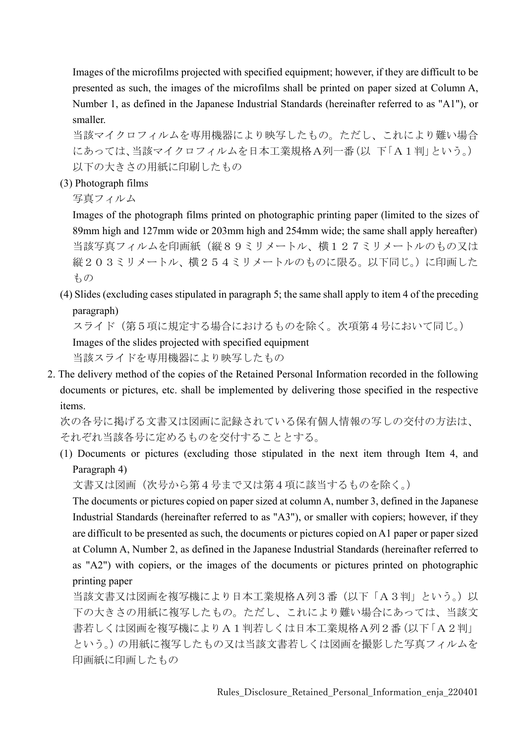Images of the microfilms projected with specified equipment; however, if they are difficult to be presented as such, the images of the microfilms shall be printed on paper sized at Column A, Number 1, as defined in the Japanese Industrial Standards (hereinafter referred to as "A1"), or smaller.

当該マイクロフィルムを専用機器により映写したもの。ただし、これにより難い場合 にあっては、当該マイクロフィルムを日本工業規格A列一番(以 下「A1判」という。) 以下の大きさの用紙に印刷したもの

(3) Photograph films

写真フィルム

Images of the photograph films printed on photographic printing paper (limited to the sizes of 89mm high and 127mm wide or 203mm high and 254mm wide; the same shall apply hereafter) 当該写真フィルムを印画紙(縦89ミリメートル、横127ミリメートルのもの又は 縦203ミリメートル、横254ミリメートルのものに限る。以下同じ。)に印画した もの

(4) Slides (excluding cases stipulated in paragraph 5; the same shall apply to item 4 of the preceding paragraph)

スライド(第5項に規定する場合におけるものを除く。次項第4号において同じ。) Images of the slides projected with specified equipment 当該スライドを専用機器により映写したもの

2. The delivery method of the copies of the Retained Personal Information recorded in the following documents or pictures, etc. shall be implemented by delivering those specified in the respective items.

次の各号に掲げる文書又は図画に記録されている保有個人情報の写しの交付の方法は、 それぞれ当該各号に定めるものを交付することとする。

(1) Documents or pictures (excluding those stipulated in the next item through Item 4, and Paragraph 4)

文書又は図画(次号から第4号まで又は第4項に該当するものを除く。)

The documents or pictures copied on paper sized at column A, number 3, defined in the Japanese Industrial Standards (hereinafter referred to as "A3"), or smaller with copiers; however, if they are difficult to be presented as such, the documents or pictures copied on A1 paper or paper sized at Column A, Number 2, as defined in the Japanese Industrial Standards (hereinafter referred to as "A2") with copiers, or the images of the documents or pictures printed on photographic printing paper

当該文書又は図画を複写機により日本工業規格A列3番(以下「A3判」という。)以 下の大きさの用紙に複写したもの。ただし、これにより難い場合にあっては、当該文 書若しくは図画を複写機によりA1判若しくは日本工業規格A列2番(以下「A2判」 という。)の用紙に複写したもの又は当該文書若しくは図画を撮影した写真フィルムを 印画紙に印画したもの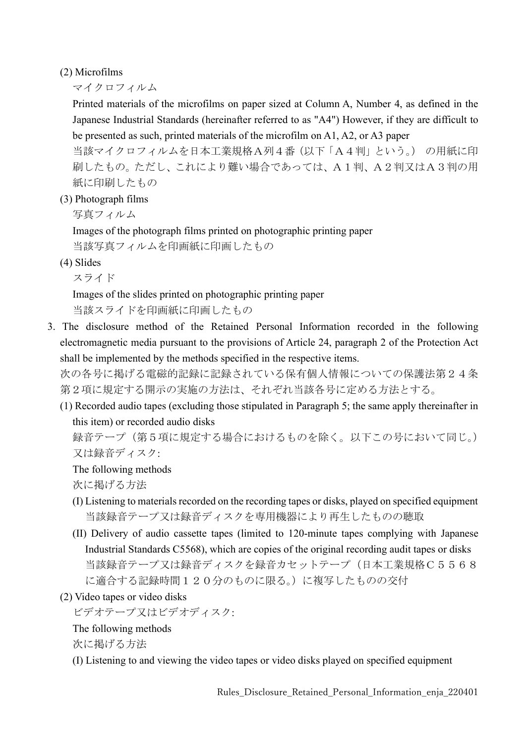(2) Microfilms

マイクロフィルム

Printed materials of the microfilms on paper sized at Column A, Number 4, as defined in the Japanese Industrial Standards (hereinafter referred to as "A4") However, if they are difficult to be presented as such, printed materials of the microfilm on A1, A2, or A3 paper

当該マイクロフィルムを日本工業規格A列4番(以下「A4判」という。) の用紙に印 刷したもの。ただし、これにより難い場合であっては、A1判、A2判又はA3判の用 紙に印刷したもの

(3) Photograph films

写真フィルム

Images of the photograph films printed on photographic printing paper 当該写真フィルムを印画紙に印画したもの

(4) Slides

スライド

Images of the slides printed on photographic printing paper 当該スライドを印画紙に印画したもの

3. The disclosure method of the Retained Personal Information recorded in the following electromagnetic media pursuant to the provisions of Article 24, paragraph 2 of the Protection Act shall be implemented by the methods specified in the respective items.

次の各号に掲げる電磁的記録に記録されている保有個人情報についての保護法第24条 第2項に規定する開示の実施の方法は、それぞれ当該各号に定める方法とする。

(1) Recorded audio tapes (excluding those stipulated in Paragraph 5; the same apply thereinafter in this item) or recorded audio disks

録音テープ(第5項に規定する場合におけるものを除く。以下この号において同じ。) 又は録音ディスク:

The following methods

次に掲げる方法

- (I) Listening to materials recorded on the recording tapes or disks, played on specified equipment 当該録音テープ又は録音ディスクを専用機器により再生したものの聴取
- (II) Delivery of audio cassette tapes (limited to 120-minute tapes complying with Japanese Industrial Standards C5568), which are copies of the original recording audit tapes or disks 当該録音テープ又は録音ディスクを録音カセットテープ(日本工業規格C5568 に適合する記録時間120分のものに限る。)に複写したものの交付
- (2) Video tapes or video disks

ビデオテープ又はビデオディスク:

The following methods

次に掲げる方法

(I) Listening to and viewing the video tapes or video disks played on specified equipment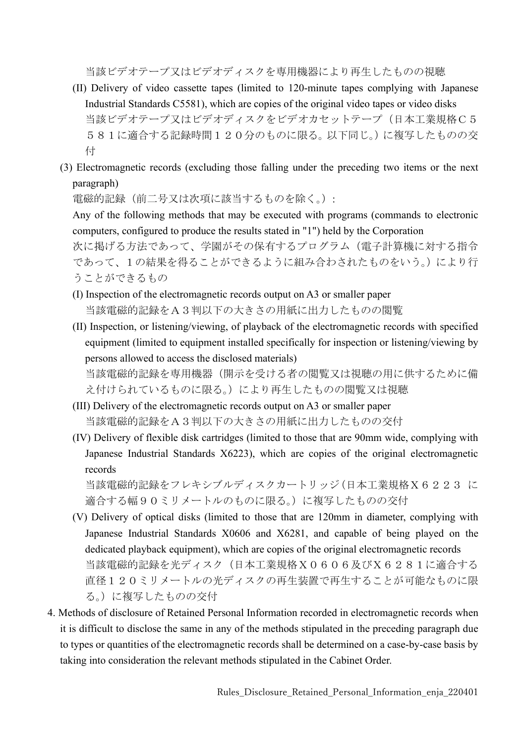当該ビデオテープ又はビデオディスクを専用機器により再生したものの視聴

- (II) Delivery of video cassette tapes (limited to 120-minute tapes complying with Japanese Industrial Standards C5581), which are copies of the original video tapes or video disks 当該ビデオテープ又はビデオディスクをビデオカセットテープ(日本工業規格C5 581に適合する記録時間120分のものに限る。以下同じ。)に複写したものの交 付
- (3) Electromagnetic records (excluding those falling under the preceding two items or the next paragraph)

電磁的記録(前二号又は次項に該当するものを除く。):

Any of the following methods that may be executed with programs (commands to electronic computers, configured to produce the results stated in "1") held by the Corporation

次に掲げる方法であって、学園がその保有するプログラム(電子計算機に対する指令 であって、1の結果を得ることができるように組み合わされたものをいう。)により行 うことができるもの

- (I) Inspection of the electromagnetic records output on A3 or smaller paper 当該電磁的記録をA3判以下の大きさの用紙に出力したものの閲覧
- (II) Inspection, or listening/viewing, of playback of the electromagnetic records with specified equipment (limited to equipment installed specifically for inspection or listening/viewing by persons allowed to access the disclosed materials) 当該電磁的記録を専用機器(開示を受ける者の閲覧又は視聴の用に供するために備
- え付けられているものに限る。)により再生したものの閲覧又は視聴 (III) Delivery of the electromagnetic records output on A3 or smaller paper
	- 当該電磁的記録をA3判以下の大きさの用紙に出力したものの交付
- (IV) Delivery of flexible disk cartridges (limited to those that are 90mm wide, complying with Japanese Industrial Standards X6223), which are copies of the original electromagnetic records

当該電磁的記録をフレキシブルディスクカートリッジ(日本工業規格X6223 に 適合する幅90ミリメートルのものに限る。)に複写したものの交付

- (V) Delivery of optical disks (limited to those that are 120mm in diameter, complying with Japanese Industrial Standards X0606 and X6281, and capable of being played on the dedicated playback equipment), which are copies of the original electromagnetic records 当該電磁的記録を光ディスク(日本工業規格X0606及びX6281に適合する 直径120ミリメートルの光ディスクの再生装置で再生することが可能なものに限 る。)に複写したものの交付
- 4. Methods of disclosure of Retained Personal Information recorded in electromagnetic records when it is difficult to disclose the same in any of the methods stipulated in the preceding paragraph due to types or quantities of the electromagnetic records shall be determined on a case-by-case basis by taking into consideration the relevant methods stipulated in the Cabinet Order.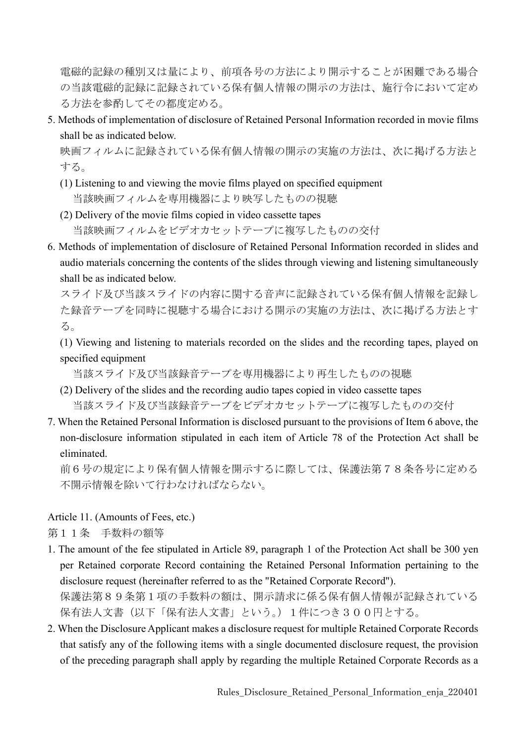電磁的記録の種別又は量により、前項各号の方法により開示することが困難である場合 の当該電磁的記録に記録されている保有個人情報の開示の方法は、施行令において定め る方法を参酌してその都度定める。

5. Methods of implementation of disclosure of Retained Personal Information recorded in movie films shall be as indicated below.

映画フィルムに記録されている保有個人情報の開示の実施の方法は、次に掲げる方法と する。

- (1) Listening to and viewing the movie films played on specified equipment 当該映画フィルムを専用機器により映写したものの視聴
- (2) Delivery of the movie films copied in video cassette tapes 当該映画フィルムをビデオカセットテープに複写したものの交付
- 6. Methods of implementation of disclosure of Retained Personal Information recorded in slides and audio materials concerning the contents of the slides through viewing and listening simultaneously shall be as indicated below.

スライド及び当該スライドの内容に関する音声に記録されている保有個人情報を記録し た録音テープを同時に視聴する場合における開示の実施の方法は、次に掲げる方法とす る。

(1) Viewing and listening to materials recorded on the slides and the recording tapes, played on specified equipment

当該スライド及び当該録音テープを専用機器により再生したものの視聴

- (2) Delivery of the slides and the recording audio tapes copied in video cassette tapes 当該スライド及び当該録音テープをビデオカセットテープに複写したものの交付
- 7. When the Retained Personal Information is disclosed pursuant to the provisions of Item 6 above, the non-disclosure information stipulated in each item of Article 78 of the Protection Act shall be eliminated.

前6号の規定により保有個人情報を開示するに際しては、保護法第78条各号に定める 不開示情報を除いて行わなければならない。

Article 11. (Amounts of Fees, etc.)

第11条 手数料の額等

1. The amount of the fee stipulated in Article 89, paragraph 1 of the Protection Act shall be 300 yen per Retained corporate Record containing the Retained Personal Information pertaining to the disclosure request (hereinafter referred to as the "Retained Corporate Record").

保護法第89条第1項の手数料の額は、開示請求に係る保有個人情報が記録されている 保有法人文書(以下「保有法人文書」という。)1件につき300円とする。

2. When the Disclosure Applicant makes a disclosure request for multiple Retained Corporate Records that satisfy any of the following items with a single documented disclosure request, the provision of the preceding paragraph shall apply by regarding the multiple Retained Corporate Records as a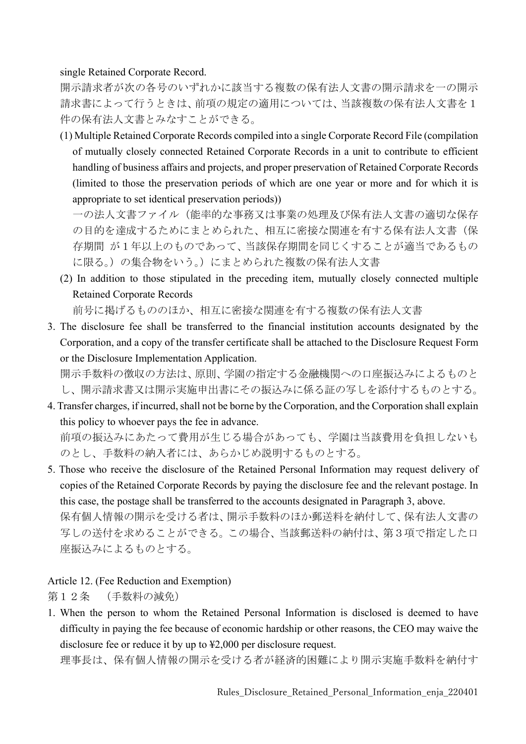single Retained Corporate Record.

開示請求者が次の各号のいずれかに該当する複数の保有法人文書の開示請求を一の開示 請求書によって行うときは、前項の規定の適用については、当該複数の保有法人文書を1 件の保有法人文書とみなすことができる。

(1) Multiple Retained Corporate Records compiled into a single Corporate Record File (compilation of mutually closely connected Retained Corporate Records in a unit to contribute to efficient handling of business affairs and projects, and proper preservation of Retained Corporate Records (limited to those the preservation periods of which are one year or more and for which it is appropriate to set identical preservation periods))

一の法人文書ファイル(能率的な事務又は事業の処理及び保有法人文書の適切な保存 の目的を達成するためにまとめられた、相互に密接な関連を有する保有法人文書(保 存期間 が1年以上のものであって、当該保存期間を同じくすることが適当であるもの に限る。)の集合物をいう。)にまとめられた複数の保有法人文書

(2) In addition to those stipulated in the preceding item, mutually closely connected multiple Retained Corporate Records

前号に掲げるもののほか、相互に密接な関連を有する複数の保有法人文書

3. The disclosure fee shall be transferred to the financial institution accounts designated by the Corporation, and a copy of the transfer certificate shall be attached to the Disclosure Request Form or the Disclosure Implementation Application.

開示手数料の徴収の方法は、原則、学園の指定する金融機関への口座振込みによるものと し、開示請求書又は開示実施申出書にその振込みに係る証の写しを添付するものとする。

- 4. Transfer charges, if incurred, shall not be borne by the Corporation, and the Corporation shall explain this policy to whoever pays the fee in advance. 前項の振込みにあたって費用が生じる場合があっても、学園は当該費用を負担しないも のとし、手数料の納入者には、あらかじめ説明するものとする。
- 5. Those who receive the disclosure of the Retained Personal Information may request delivery of copies of the Retained Corporate Records by paying the disclosure fee and the relevant postage. In this case, the postage shall be transferred to the accounts designated in Paragraph 3, above. 保有個人情報の開示を受ける者は、開示手数料のほか郵送料を納付して、保有法人文書の 写しの送付を求めることができる。この場合、当該郵送料の納付は、第3項で指定した口 座振込みによるものとする。

Article 12. (Fee Reduction and Exemption)

第12条 (手数料の減免)

1. When the person to whom the Retained Personal Information is disclosed is deemed to have difficulty in paying the fee because of economic hardship or other reasons, the CEO may waive the disclosure fee or reduce it by up to ¥2,000 per disclosure request.

理事長は、保有個人情報の開示を受ける者が経済的困難により開示実施手数料を納付す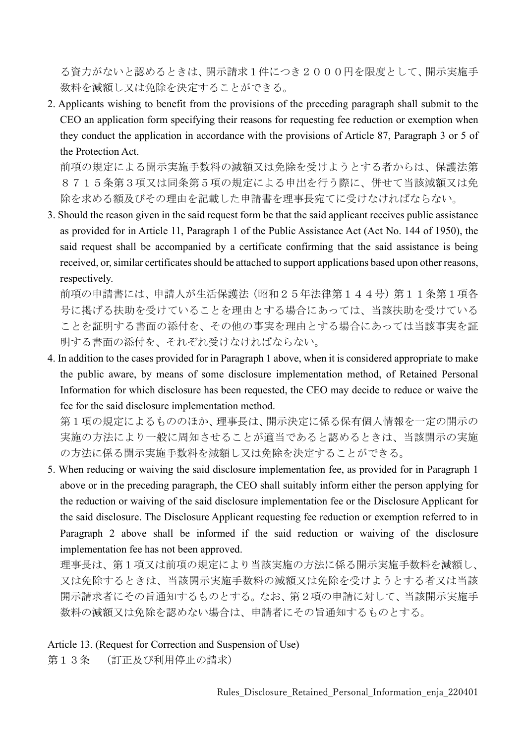る資力がないと認めるときは、開示請求1件につき2000円を限度として、開示実施手 数料を減額し又は免除を決定することができる。

2. Applicants wishing to benefit from the provisions of the preceding paragraph shall submit to the CEO an application form specifying their reasons for requesting fee reduction or exemption when they conduct the application in accordance with the provisions of Article 87, Paragraph 3 or 5 of the Protection Act.

前項の規定による開示実施手数料の減額又は免除を受けようとする者からは、保護法第 8715条第3項又は同条第5項の規定による申出を行う際に、併せて当該減額又は免 除を求める額及びその理由を記載した申請書を理事長宛てに受けなければならない。

3. Should the reason given in the said request form be that the said applicant receives public assistance as provided for in Article 11, Paragraph 1 of the Public Assistance Act (Act No. 144 of 1950), the said request shall be accompanied by a certificate confirming that the said assistance is being received, or, similar certificates should be attached to support applications based upon other reasons, respectively.

前項の申請書には、申請人が生活保護法(昭和25年法律第144号)第11条第1項各 号に掲げる扶助を受けていることを理由とする場合にあっては、当該扶助を受けている ことを証明する書面の添付を、その他の事実を理由とする場合にあっては当該事実を証 明する書面の添付を、それぞれ受けなければならない。

4. In addition to the cases provided for in Paragraph 1 above, when it is considered appropriate to make the public aware, by means of some disclosure implementation method, of Retained Personal Information for which disclosure has been requested, the CEO may decide to reduce or waive the fee for the said disclosure implementation method.

第1項の規定によるもののほか、理事長は、開示決定に係る保有個人情報を一定の開示の 実施の方法により一般に周知させることが適当であると認めるときは、当該開示の実施 の方法に係る開示実施手数料を減額し又は免除を決定することができる。

5. When reducing or waiving the said disclosure implementation fee, as provided for in Paragraph 1 above or in the preceding paragraph, the CEO shall suitably inform either the person applying for the reduction or waiving of the said disclosure implementation fee or the Disclosure Applicant for the said disclosure. The Disclosure Applicant requesting fee reduction or exemption referred to in Paragraph 2 above shall be informed if the said reduction or waiving of the disclosure implementation fee has not been approved.

理事長は、第1項又は前項の規定により当該実施の方法に係る開示実施手数料を減額し、 又は免除するときは、当該開示実施手数料の減額又は免除を受けようとする者又は当該 開示請求者にその旨通知するものとする。なお、第2項の申請に対して、当該開示実施手 数料の減額又は免除を認めない場合は、申請者にその旨通知するものとする。

#### Article 13. (Request for Correction and Suspension of Use)

第13条 (訂正及び利用停止の請求)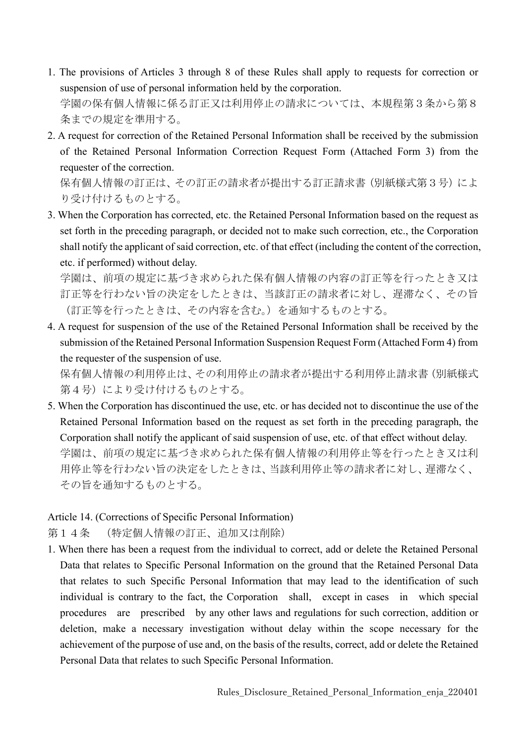- 1. The provisions of Articles 3 through 8 of these Rules shall apply to requests for correction or suspension of use of personal information held by the corporation. 学園の保有個人情報に係る訂正又は利用停止の請求については、本規程第3条から第8 条までの規定を準用する。
- 2. A request for correction of the Retained Personal Information shall be received by the submission of the Retained Personal Information Correction Request Form (Attached Form 3) from the requester of the correction.

保有個人情報の訂正は、その訂正の請求者が提出する訂正請求書(別紙様式第3号)によ り受け付けるものとする。

3. When the Corporation has corrected, etc. the Retained Personal Information based on the request as set forth in the preceding paragraph, or decided not to make such correction, etc., the Corporation shall notify the applicant of said correction, etc. of that effect (including the content of the correction, etc. if performed) without delay.

学園は、前項の規定に基づき求められた保有個人情報の内容の訂正等を行ったとき又は 訂正等を行わない旨の決定をしたときは、当該訂正の請求者に対し、遅滞なく、その旨 (訂正等を行ったときは、その内容を含む。)を通知するものとする。

4. A request for suspension of the use of the Retained Personal Information shall be received by the submission of the Retained Personal Information Suspension Request Form (Attached Form 4) from the requester of the suspension of use.

保有個人情報の利用停止は、その利用停止の請求者が提出する利用停止請求書(別紙様式 第4号)により受け付けるものとする。

5. When the Corporation has discontinued the use, etc. or has decided not to discontinue the use of the Retained Personal Information based on the request as set forth in the preceding paragraph, the Corporation shall notify the applicant of said suspension of use, etc. of that effect without delay. 学園は、前項の規定に基づき求められた保有個人情報の利用停止等を行ったとき又は利 用停止等を行わない旨の決定をしたときは、当該利用停止等の請求者に対し、遅滞なく、 その旨を通知するものとする。

### Article 14. (Corrections of Specific Personal Information)

第14条 (特定個人情報の訂正、追加又は削除)

1. When there has been a request from the individual to correct, add or delete the Retained Personal Data that relates to Specific Personal Information on the ground that the Retained Personal Data that relates to such Specific Personal Information that may lead to the identification of such individual is contrary to the fact, the Corporation shall, except in cases in which special procedures are prescribed by any other laws and regulations for such correction, addition or deletion, make a necessary investigation without delay within the scope necessary for the achievement of the purpose of use and, on the basis of the results, correct, add or delete the Retained Personal Data that relates to such Specific Personal Information.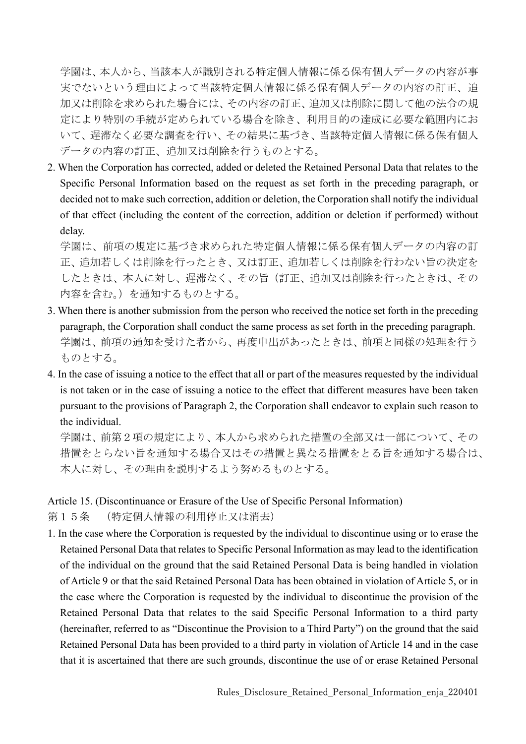学園は、本人から、当該本人が識別される特定個人情報に係る保有個人データの内容が事 実でないという理由によって当該特定個人情報に係る保有個人データの内容の訂正、追 加又は削除を求められた場合には、その内容の訂正、追加又は削除に関して他の法令の規 定により特別の手続が定められている場合を除き、利用目的の達成に必要な範囲内にお いて、遅滞なく必要な調査を行い、その結果に基づき、当該特定個人情報に係る保有個人 データの内容の訂正、追加又は削除を行うものとする。

2. When the Corporation has corrected, added or deleted the Retained Personal Data that relates to the Specific Personal Information based on the request as set forth in the preceding paragraph, or decided not to make such correction, addition or deletion, the Corporation shall notify the individual of that effect (including the content of the correction, addition or deletion if performed) without delay.

学園は、前項の規定に基づき求められた特定個人情報に係る保有個人データの内容の訂 正、追加若しくは削除を行ったとき、又は訂正、追加若しくは削除を行わない旨の決定を したときは、本人に対し、遅滞なく、その旨(訂正、追加又は削除を行ったときは、その 内容を含む。)を通知するものとする。

- 3. When there is another submission from the person who received the notice set forth in the preceding paragraph, the Corporation shall conduct the same process as set forth in the preceding paragraph. 学園は、前項の通知を受けた者から、再度申出があったときは、前項と同様の処理を行う ものとする。
- 4. In the case of issuing a notice to the effect that all or part of the measures requested by the individual is not taken or in the case of issuing a notice to the effect that different measures have been taken pursuant to the provisions of Paragraph 2, the Corporation shall endeavor to explain such reason to the individual.

学園は、前第2項の規定により、本人から求められた措置の全部又は一部について、その 措置をとらない旨を通知する場合又はその措置と異なる措置をとる旨を通知する場合は、 本人に対し、その理由を説明するよう努めるものとする。

Article 15. (Discontinuance or Erasure of the Use of Specific Personal Information)

第15条 (特定個人情報の利用停止又は消去)

1. In the case where the Corporation is requested by the individual to discontinue using or to erase the Retained Personal Data that relates to Specific Personal Information as may lead to the identification of the individual on the ground that the said Retained Personal Data is being handled in violation of Article 9 or that the said Retained Personal Data has been obtained in violation of Article 5, or in the case where the Corporation is requested by the individual to discontinue the provision of the Retained Personal Data that relates to the said Specific Personal Information to a third party (hereinafter, referred to as "Discontinue the Provision to a Third Party") on the ground that the said Retained Personal Data has been provided to a third party in violation of Article 14 and in the case that it is ascertained that there are such grounds, discontinue the use of or erase Retained Personal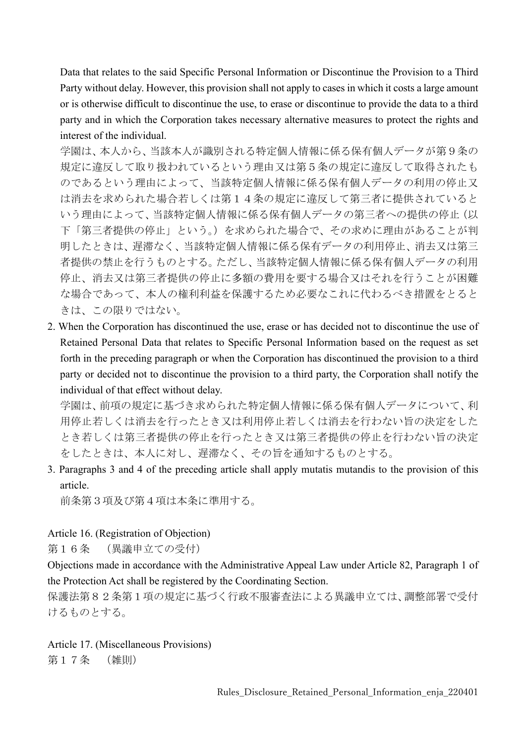Data that relates to the said Specific Personal Information or Discontinue the Provision to a Third Party without delay. However, this provision shall not apply to cases in which it costs a large amount or is otherwise difficult to discontinue the use, to erase or discontinue to provide the data to a third party and in which the Corporation takes necessary alternative measures to protect the rights and interest of the individual.

学園は、本人から、当該本人が識別される特定個人情報に係る保有個人データが第9条の 規定に違反して取り扱われているという理由又は第5条の規定に違反して取得されたも のであるという理由によって、当該特定個人情報に係る保有個人データの利用の停止又 は消去を求められた場合若しくは第14条の規定に違反して第三者に提供されていると いう理由によって、当該特定個人情報に係る保有個人データの第三者への提供の停止(以 下「第三者提供の停止」という。)を求められた場合で、その求めに理由があることが判 明したときは、遅滞なく、当該特定個人情報に係る保有データの利用停止、消去又は第三 者提供の禁止を行うものとする。ただし、当該特定個人情報に係る保有個人データの利用 停止、消去又は第三者提供の停止に多額の費用を要する場合又はそれを行うことが困難 な場合であって、本人の権利利益を保護するため必要なこれに代わるべき措置をとると きは、この限りではない。

2. When the Corporation has discontinued the use, erase or has decided not to discontinue the use of Retained Personal Data that relates to Specific Personal Information based on the request as set forth in the preceding paragraph or when the Corporation has discontinued the provision to a third party or decided not to discontinue the provision to a third party, the Corporation shall notify the individual of that effect without delay.

学園は、前項の規定に基づき求められた特定個人情報に係る保有個人データについて、利 用停止若しくは消去を行ったとき又は利用停止若しくは消去を行わない旨の決定をした とき若しくは第三者提供の停止を行ったとき又は第三者提供の停止を行わない旨の決定 をしたときは、本人に対し、遅滞なく、その旨を通知するものとする。

3. Paragraphs 3 and 4 of the preceding article shall apply mutatis mutandis to the provision of this article.

前条第3項及び第4項は本条に準用する。

### Article 16. (Registration of Objection)

第16条 (異議申立ての受付)

Objections made in accordance with the Administrative Appeal Law under Article 82, Paragraph 1 of the Protection Act shall be registered by the Coordinating Section.

保護法第82条第1項の規定に基づく行政不服審査法による異議申立ては、調整部署で受付 けるものとする。

Article 17. (Miscellaneous Provisions) 第17条 (雑則)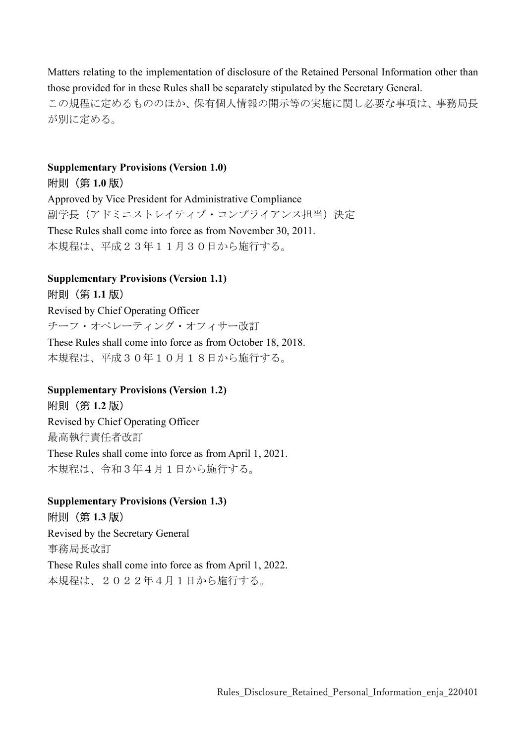Matters relating to the implementation of disclosure of the Retained Personal Information other than those provided for in these Rules shall be separately stipulated by the Secretary General. この規程に定めるもののほか、保有個人情報の開示等の実施に関し必要な事項は、事務局長 が別に定める。

### Supplementary Provisions (Version 1.0) 附則(第 1.0 版)

Approved by Vice President for Administrative Compliance 副学長(アドミニストレイティブ・コンプライアンス担当)決定 These Rules shall come into force as from November 30, 2011. 本規程は、平成23年11月30日から施行する。

# Supplementary Provisions (Version 1.1) 附則(第 1.1 版)

Revised by Chief Operating Officer チーフ・オペレーティング・オフィサー改訂 These Rules shall come into force as from October 18, 2018.

本規程は、平成30年10月18日から施行する。

### Supplementary Provisions (Version 1.2) 附則(第 1.2 版)

Revised by Chief Operating Officer 最高執行責任者改訂 These Rules shall come into force as from April 1, 2021. 本規程は、令和3年4月1日から施行する。

#### Supplementary Provisions (Version 1.3) 附則(第 1.3 版)

Revised by the Secretary General 事務局長改訂 These Rules shall come into force as from April 1, 2022. 本規程は、2022年4月1日から施行する。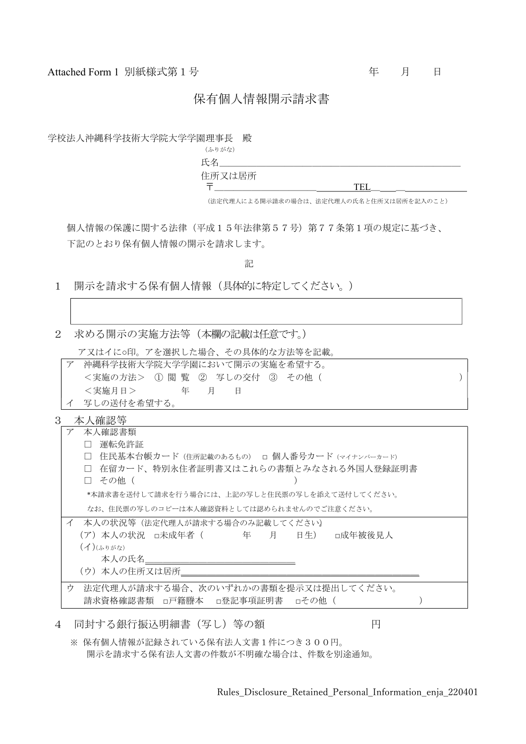Attached Form 1 別紙様式第1号 Function Action Action Action Action Action Action Action Action Action Action Action A

#### 保有個人情報開示請求書

学校法人沖縄科学技術大学院大学学園理事長 殿

(ふりがな) 氏名 住所又は居所

 $\overline{T}$  TEL

(法定代理人による開示請求の場合は、法定代理人の氏名と住所又は居所を記入のこと)

個人情報の保護に関する法律(平成15年法律第57号)第77条第1項の規定に基づき、 下記のとおり保有個人情報の開示を請求します。

記

- 1 開示を請求する保有個人情報(具体的に特定してください。)
- 2 求める開示の実施方法等(本欄の記載は任意です。)
	- ア又はイに○印。アを選択した場合、その具体的な方法等を記載。
	- ア 沖縄科学技術大学院大学学園において開示の実施を希望する。 <実施の方法> ① 閲 覧 ② 写しの交付 ③ その他( ) <実施月日> 年 月 日 イ 写しの送付を希望する。

3 本人確認等

| $\overline{\gamma}$ | 本人確認書類                                        |  |
|---------------------|-----------------------------------------------|--|
|                     | 運転免許証<br>$\mathsf{L}$                         |  |
|                     | 住民基本台帳カード (住所記載のあるもの) ロ 個人番号カード (マイナンバーカード)   |  |
|                     | 在留カード、特別永住者証明書又はこれらの書類とみなされる外国人登録証明書          |  |
|                     | その他(<br>$\Box$                                |  |
|                     | *本請求書を送付して請求を行う場合には、上記の写しと住民票の写しを添えて送付してください。 |  |
|                     | なお、住民票の写しのコピーは本人確認資料としては認められませんのでご注意ください。     |  |
| $\Lambda$           | 本人の状況等(法定代理人が請求する場合のみ記載してください)                |  |
|                     | (ア)本人の状況 □未成年者(    年  月<br>日生) □成年被後見人        |  |
|                     | (1)(50)                                       |  |
|                     | 本人の氏名                                         |  |
|                     | (ウ)本人の住所又は居所                                  |  |
| ゥ                   | 法定代理人が請求する場合、次のいずれかの書類を提示又は提出してください。          |  |
|                     | 請求資格確認書類 □戸籍謄本 □登記事項証明書 □その他(                 |  |
|                     |                                               |  |

4 同封する銀行振込明細書(写し)等の額 インコンファンド 円

※ 保有個人情報が記録されている保有法人文書1件につき300円。 開示を請求する保有法人文書の件数が不明確な場合は、件数を別途通知。

Rules\_Disclosure\_Retained\_Personal\_Information\_enja\_220401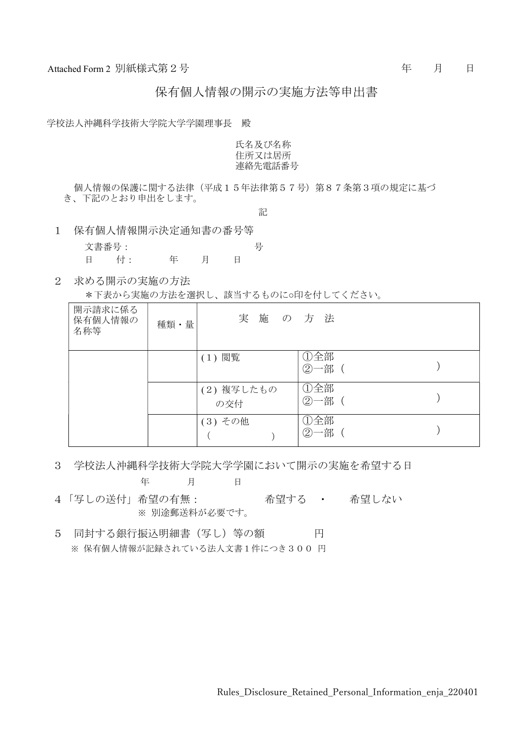保有個人情報の開示の実施方法等申出書

学校法人沖縄科学技術大学院大学学園理事長 殿

氏名及び名称 住所又は居所 連絡先電話番号

個人情報の保護に関する法律(平成15年法律第57号)第87条第3項の規定に基づ き、下記のとおり申出をします。

記

- 1 保有個人情報開示決定通知書の番号等
	- 文書番号: ファイン ライフィッシュ ライフィッシュ ライフィッシュ ライフィッシュ 日 付: 年 月 日
- 2 求める開示の実施の方法

\*下表から実施の方法を選択し、該当するものに○印を付してください。

| 開示請求に係る<br>保有個人情報の<br>名称等 | 種類・量 | 実施の方法             |                 |  |
|---------------------------|------|-------------------|-----------------|--|
|                           |      | (1) 閲覧            | ①全部<br>②一部      |  |
|                           |      | (2) 複写したもの<br>の交付 | ①全部<br>②一部(     |  |
|                           |      | (3) その他           | ①全部<br>一部<br>2) |  |

3 学校法人沖縄科学技術大学院大学学園において開示の実施を希望する日

年 月 日 4「写しの送付」希望の有無: 希望する ・ 希望しない

※ 別途郵送料が必要です。

5 同封する銀行振込明細書 (写し) 等の額 円 ※ 保有個人情報が記録されている法人文書1件につき300 円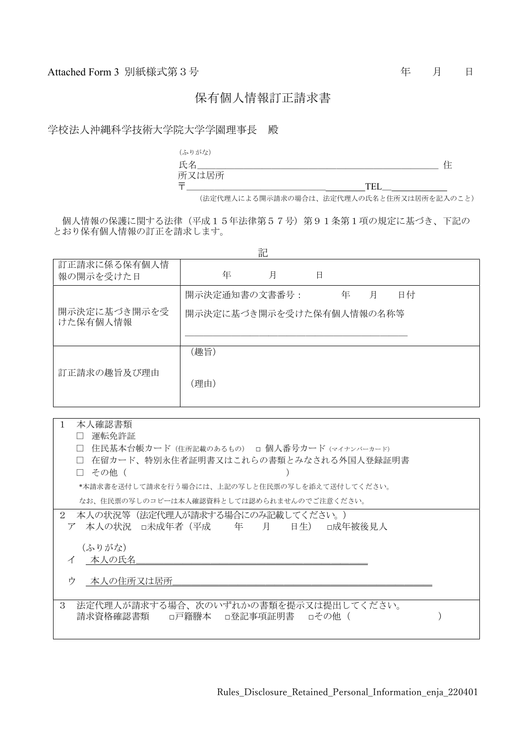### 保有個人情報訂正請求書

学校法人沖縄科学技術大学院大学学園理事長 殿



(法定代理人による開示請求の場合は、法定代理人の氏名と住所又は居所を記入のこと)

個人情報の保護に関する法律(平成15年法律第57号)第91条第1項の規定に基づき、下記の とおり保有個人情報の訂正を請求します。

| 記                         |                                                        |  |  |  |  |
|---------------------------|--------------------------------------------------------|--|--|--|--|
| 訂正請求に係る保有個人情<br>報の開示を受けた日 | 年<br>月<br>日                                            |  |  |  |  |
| 開示決定に基づき開示を受<br>けた保有個人情報  | 開示決定通知書の文書番号:<br>日付<br>年 月<br>開示決定に基づき開示を受けた保有個人情報の名称等 |  |  |  |  |
| 訂正請求の趣旨及び理由               | (趣旨)<br>(理由)                                           |  |  |  |  |

| 本人確認書類<br>$\mathbf{1}$                                                           |  |
|----------------------------------------------------------------------------------|--|
| 運転免許証                                                                            |  |
| 住民基本台帳カード(住所記載のあるもの) □ 個人番号カード (マイナンバーカード)<br>$\perp$                            |  |
| 在留カード、特別永住者証明書又はこれらの書類とみなされる外国人登録証明書<br>П                                        |  |
| その他(<br>$\Box$                                                                   |  |
| *本請求書を送付して請求を行う場合には、上記の写しと住民票の写しを添えて送付してください。                                    |  |
| なお、住民票の写しのコピーは本人確認資料としては認められませんのでご注意ください。                                        |  |
| 本人の状況等(法定代理人が請求する場合にのみ記載してください。)<br>2<br>ア 本人の状況 □未成年者(平成   年   月<br>日生) □成年被後見人 |  |
| (ふりがな)                                                                           |  |
| 本人の氏名<br>$\overline{\mathcal{A}}$                                                |  |
|                                                                                  |  |
| ウ<br>本人の住所又は居所                                                                   |  |
|                                                                                  |  |
| 3<br>法定代理人が請求する場合、次のいずれかの書類を提示又は提出してください。<br>請求資格確認書類 □戸籍謄本 □登記事項証明書 □その他 (      |  |
|                                                                                  |  |